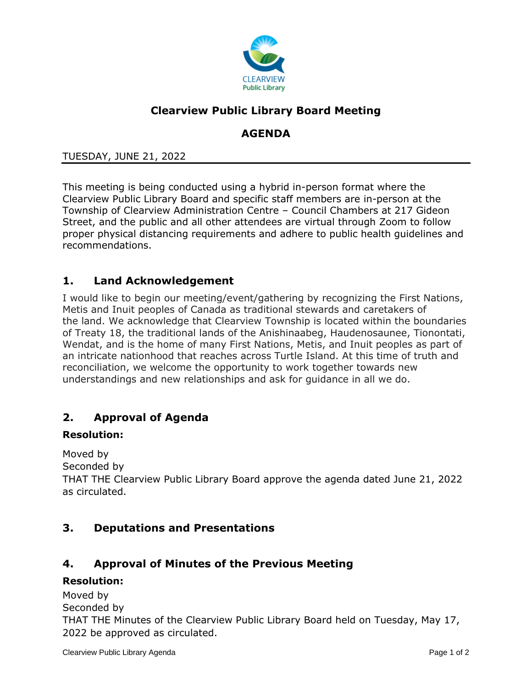

# **Clearview Public Library Board Meeting**

## **AGENDA**

#### TUESDAY, JUNE 21, 2022

This meeting is being conducted using a hybrid in-person format where the Clearview Public Library Board and specific staff members are in-person at the Township of Clearview Administration Centre – Council Chambers at 217 Gideon Street, and the public and all other attendees are virtual through Zoom to follow proper physical distancing requirements and adhere to public health guidelines and recommendations.

### **1. Land Acknowledgement**

I would like to begin our meeting/event/gathering by recognizing the First Nations, Metis and Inuit peoples of Canada as traditional stewards and caretakers of the land. We acknowledge that Clearview Township is located within the boundaries of Treaty 18, the traditional lands of the Anishinaabeg, Haudenosaunee, Tionontati, Wendat, and is the home of many First Nations, Metis, and Inuit peoples as part of an intricate nationhood that reaches across Turtle Island. At this time of truth and reconciliation, we welcome the opportunity to work together towards new understandings and new relationships and ask for guidance in all we do.

## **2. Approval of Agenda**

#### **Resolution:**

Moved by

Seconded by

THAT THE Clearview Public Library Board approve the agenda dated June 21, 2022 as circulated.

### **3. Deputations and Presentations**

### **4. Approval of Minutes of the Previous Meeting**

#### **Resolution:**

Moved by Seconded by

THAT THE Minutes of the Clearview Public Library Board held on Tuesday, May 17, 2022 be approved as circulated.